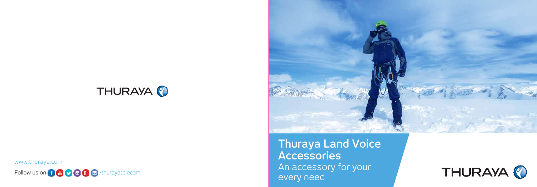

www.thuraya.com





**Thuraya Land Voice Accessories** An accessory for your every need

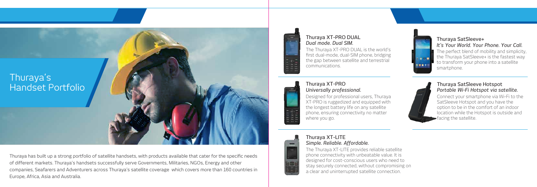Thuraya has built up a strong portfolio of satellite handsets, with products available that cater for the specific needs of different markets. Thuraya's handsets successfully serve Governments, Militaries, NGOs, Energy and other companies, Seafarers and Adventurers across Thuraya's satellite coverage which covers more than 160 countries in Europe, Africa, Asia and Australia.





## Thuraya XT-PRO DUAL *Dual mode. Dual SIM.*

The Thuraya XT-PRO DUAL is the world's first dual-mode, dual-SIM phone, bridging the gap between satellite and terrestrial communications.



# Thuraya XT-PRO *Universally professional.*

Designed for professional users, Thuraya XT-PRO is ruggedized and equipped with the longest battery life on any satellite phone, ensuring connectivity no matter where you go.



## Thuraya XT-LITE *Simple. Reliable. Affordable.*

The Thuraya XT-LITE provides reliable satellite phone connectivity with unbeatable value. It is designed for cost-conscious users who need to stay securely connected, without compromising on a clear and uninterrupted satellite connection.



## Thuraya SatSleeve+ *It's Your World. Your Phone. Your Call.* The perfect blend of mobility and simplicity,

the Thuraya SatSleeve+ is the fastest way to transform your phone into a satellite smartphone.



## Thuraya SatSleeve Hotspot *Portable Wi-Fi Hotspot via satellite.*

Connect your smartphone via Wi-Fi to the SatSleeve Hotspot and you have the option to be in the comfort of an indoor location while the Hotspot is outside and facing the satellite.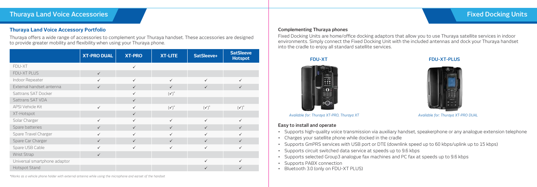## **Thuraya Land Voice Accessory Portfolio**

Thuraya offers a wide range of accessories to complement your Thuraya handset. These accessories are designed to provide greater mobility and flexibility when using your Thuraya phone.

# **Thuraya Land Voice Accessories Fixed Docking Units**

### **Complementing Thuraya phones**

Fixed Docking Units are home/office docking adaptors that allow you to use Thuraya satellite services in indoor environments. Simply connect the Fixed Docking Unit with the included antennas and dock your Thuraya handset into the cradle to enjoy all standard satellite services.



## **FDU-XT****FDU-XT-PLUS**



### **Easy to install and operate**

- Supports high-quality voice transmission via auxiliary handset, speakerphone or any analogue extension telephone
- Charges your satellite phone while docked in the cradle
- Supports GmPRS services with USB port or DTE (downlink speed up to 60 kbps/uplink up to 15 kbps)
- Supports circuit switched data service at speeds up to 9.6 kbps
- Supports selected Group3 analogue fax machines and PC fax at speeds up to 9.6 kbps
- Supports PABX connection
- Bluetooth 3.0 (only on FDU-XT PLUS)

|                              | <b>XT-PRO DUAL</b> | <b>XT-PRO</b> | <b>XT-LITE</b>   | SatSleeve+       | <b>SatSleeve</b><br><b>Hotspot</b> |
|------------------------------|--------------------|---------------|------------------|------------------|------------------------------------|
| FDU-XT                       |                    | $\checkmark$  |                  |                  |                                    |
| FDU-XT PLUS                  | $\checkmark$       |               |                  |                  |                                    |
| Indoor Repeater              | ✓                  | ✓             | ✓                | ✓                |                                    |
| External handset antenna     | $\checkmark$       | $\checkmark$  | $\checkmark$     | $\checkmark$     | $\checkmark$                       |
| Sattrans SAT Docker          |                    | ✓             | $(\checkmark)^*$ |                  |                                    |
| Sattrans SAT VDA             |                    | $\checkmark$  |                  |                  |                                    |
| <b>APSI Vehicle Kit</b>      | $\checkmark$       | $\checkmark$  | $(\checkmark)^*$ | $(\checkmark)^*$ | $(\checkmark)^*$                   |
| XT-Hotspot                   |                    | $\checkmark$  |                  |                  |                                    |
| Solar Charger                | $\checkmark$       | $\checkmark$  | $\checkmark$     | $\checkmark$     | $\checkmark$                       |
| Spare batteries              | $\checkmark$       | $\checkmark$  | $\checkmark$     | $\checkmark$     | $\checkmark$                       |
| Spare Travel Charger         | ✓                  | ✓             | ✓                | $\checkmark$     |                                    |
| Spare Car Charger            | $\checkmark$       | $\checkmark$  | $\checkmark$     | $\checkmark$     | $\checkmark$                       |
| Spare USB Cable              | $\checkmark$       | ✓             | ✓                | $\checkmark$     | ✓                                  |
| Wrist Strap                  | $\checkmark$       |               |                  |                  |                                    |
| Universal smartphone adaptor |                    |               |                  | ✓                |                                    |
| Hotspot Stand                |                    |               |                  |                  |                                    |

*\*Works as a vehicle phone holder with external antenna while using the microphone and earset of the handset*

*Available for: Thuraya XT-PRO, Thuraya XT Available for: Thuraya XT-PRO DUAL*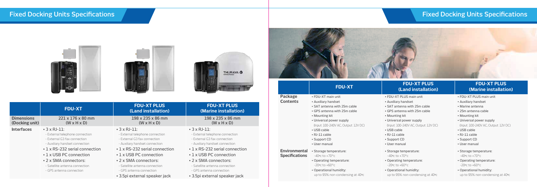# **Fixed Docking Units Specifications Fixed Docking Units Specifications**



### **FDU-XT PLUS FDU-XT PLUS (Land installation) (Marine installation)**

|                                     |                                                                                                                         |                                                                                                                         | THURAYA O                                                                                                               |                                        |                                                                                                           | <b>FDU-XT PLUS</b>                                                                                             | <b>FD</b>                                                             |
|-------------------------------------|-------------------------------------------------------------------------------------------------------------------------|-------------------------------------------------------------------------------------------------------------------------|-------------------------------------------------------------------------------------------------------------------------|----------------------------------------|-----------------------------------------------------------------------------------------------------------|----------------------------------------------------------------------------------------------------------------|-----------------------------------------------------------------------|
|                                     |                                                                                                                         |                                                                                                                         |                                                                                                                         |                                        | <b>FDU-XT</b>                                                                                             | (Land installation)                                                                                            | (Mari                                                                 |
|                                     | <b>FDU-XT</b>                                                                                                           | <b>FDU-XT PLUS</b><br>(Land installation)                                                                               | <b>FDU-XT PLUS</b><br>(Marine installation)                                                                             | Package<br><b>Contents</b>             | • FDU-XT main unit<br>• Auxiliary handset<br>. SAT antenna with 25m cable<br>• GPS antenna with 25m cable | . FDU-XT PLUS main unit<br>• Auxiliary handset<br>. SAT antenna with 25m cable<br>• GPS antenna with 25m cable | • FDU-XT PLUS<br>• Auxiliary hand<br>• Marine antenr<br>• 25m antenna |
| <b>Dimensions</b><br>(Docking unit) | 221 x 176 x 80 mm<br>$(W \times H \times D)$                                                                            | 198 x 235 x 86 mm<br>$(W \times H \times D)$                                                                            | 198 x 235 x 86 mm<br>$(W \times H \times D)$                                                                            |                                        | • Mounting kit<br>• Universal power supply<br>(Input: 100-240V AC, Output: 12V DC)                        | • Mounting kit<br>• Universal power supply<br>(Input: 100-240V AC, Output: 12V DC)                             | • Mounting kit<br>• Universal pow<br>(Input: 100-240                  |
| <b>Interfaces</b>                   | $\cdot$ 3 x RJ-11:<br>- External telephone connection<br>- External G3 fax connection<br>- Auxiliary handset connection | $\cdot$ 3 x RJ-11:<br>- External telephone connection<br>- External G3 fax connection<br>- Auxiliary handset connection | $\cdot$ 3 x RJ-11:<br>- External telephone connection<br>- External G3 fax connection<br>- Auxiliary handset connection |                                        | • USB cable<br>• RJ-11 cable<br>• Support CD<br>• User manual                                             | • USB cable<br>• RJ-11 cable<br>• Support CD<br>• User manual                                                  | • USB cable<br>• RJ-11 cable<br>• Support CD<br>• User manual         |
|                                     | • 1 x RS-232 serial connection<br>• 1 x USB PC connection                                                               | • 1 x RS-232 serial connection<br>• 1 x USB PC connection                                                               | • 1 x RS-232 serial connection<br>• 1 x USB PC connection                                                               | Environmental<br><b>Specifications</b> | · Storage temperature:<br>$-40$ °c to $+70$ °c                                                            | · Storage temperature:<br>$-40$ °c to $+70$ °c                                                                 | • Storage temp<br>$-40$ °c to $+70$ °c                                |
|                                     | • 2 x SMA connectors:<br>- Satellite antenna connection<br>- GPS antenna connection                                     | • 2 x SMA connectors:<br>- Satellite antenna connection<br>- GPS antenna connection                                     | • 2 x SMA connectors:<br>- Satellite antenna connection<br>- GPS antenna connection                                     |                                        | • Operating temperature:<br>$-20$ °c to $+60$ °c<br>· Operational humidity:                               | • Operating temperature:<br>$-20$ °c to $+60$ °c<br>• Operational humidity:                                    | • Operating ten<br>$-20$ °c to $+60$ °c<br>• Operational h            |
|                                     |                                                                                                                         | • 3.5pi external speaker jack                                                                                           | • 3.5pi external speaker jack                                                                                           |                                        | up to 95% non-condensing at 40°c                                                                          | up to 95% non-condensing at 40°c                                                                               | up to 95% nor                                                         |
|                                     |                                                                                                                         |                                                                                                                         |                                                                                                                         |                                        |                                                                                                           |                                                                                                                |                                                                       |

- **Package** FDU-XT main unit FDU-XT PLUS main unit FDU-XT PLUS main unit
- **Contents** Auxiliary handset Auxiliary handset Auxiliary handset
- SAT antenna with 25m cable SAT antenna with 25m cable Marine antenna
- $\overline{\phantom{a}}$  antenna with 25m cable  $\overline{\phantom{a}}$  25m antenna cable  $\overline{\phantom{a}}$
- Mounting kit Mounting kit Mounting kit
- Universal power supply Universal power supply Universal power supply (Input: 100-240V AC, Output: 12V DC) (Input: 100-240V AC, Output: 12V DC) (Input: 100-240V AC, Output: 12V DC)
- USB cable USB cable USB cable
- RJ-11 cable RJ-11 cable RJ-11 cable
- Support CD Support CD Support CD
- User manual User manual User manual
- **Environmental** Storage temperature: Storage temperature: Storage temperature:
- Operating temperature: Operating temperature: Operating temperature:  $\degree$ c to +60 $\degree$ c  $\degree$ c +60 $\degree$ c -20 $\degree$ c to +60 $\degree$ c
- Operational humidity: Operational humidity: Operational humidity: up to 95% non-condensing at 40ºc up to 95% non-condensing at 40ºc up to 95% non-condensing at 40ºc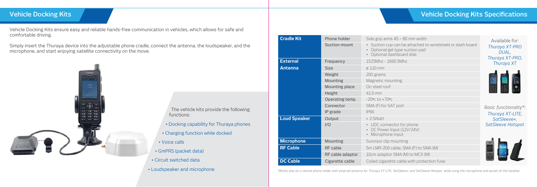# **Vehicle Docking Kits Vehicle Docking Kits Specifications**

**BO** mm width

- e attached to windshield or dash board
- suction pad
- rd disk

i phone  $2V/24V$ 

**REGACCITY** CABLE CABLE FOR CABLE 5 MACH CABLE

M) to MCX (M)

le with protection fuse

Vehicle Docking Kits ensure easy and reliable hands-free communication in vehicles, which allows for safe and comfortable driving.

Simply insert the Thuraya device into the adjustable phone cradle, connect the antenna, the loudspeaker, and the microphone, and start enjoying satellite connectivity on the move.



| • Circuit switched data |
|-------------------------|
|                         |

• Loudspeaker and microphone

| <b>Cradle Kit</b>   | Phone holder     | Side grip arms 45 - 80                                           |
|---------------------|------------------|------------------------------------------------------------------|
|                     | Suction mount    | Suction cup can be<br>Optional gel type su<br>Optional dashboard |
| <b>External</b>     | Frequency        | 1525Mhz - 1660.5Mhz                                              |
| Antenna             | <b>Size</b>      | $\emptyset$ 110 mm                                               |
|                     | Weight           | 200 grams                                                        |
|                     | Mounting         | Magnetic mounting                                                |
|                     | Mounting place   | On steel roof                                                    |
|                     | Height           | $41.0$ mm                                                        |
|                     | Operating temp.  | $-20$ °C to $+70$ °C                                             |
|                     | Connector        | SMA (F) for SAT port                                             |
|                     | IP grade         | IP66                                                             |
| <b>Loud Speaker</b> | Output           | $>$ 2.5 Watt                                                     |
|                     | 1/O              | UDC connector for p<br>DC Power Input (12)<br>Microphone input   |
| <b>Microphone</b>   | Mounting         | Sunvisor clip mounting                                           |
| <b>RF Cable</b>     | RF cable         | 5m LMR-200 cable, SM                                             |
|                     | RF cable adaptor | 10cm adaptor SMA (M)                                             |
| <b>DC Cable</b>     | Cigarette cable  | Coiled cigarette cable                                           |

Available for: *Thuraya XT-PRO DUAL, Thuraya XT-PRO, Thuraya XT* 



*Basic functionality\*: Thuraya XT-LITE, SatSleeve+, SatSleeve Hotspot*



*\*Works also as a vehicle phone holder with external antenna for Thuraya XT-LITE, SatSleeve+ and SatSleeve Hotspot, while using the microphone and earset of the handset.*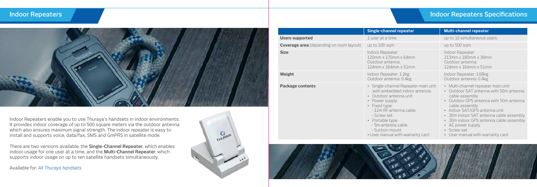# **Indoor Repeaters Indoor Repeaters Specifications**

| ater                                     | <b>Multi-channel repeater</b>                                                                                                                            |  |  |
|------------------------------------------|----------------------------------------------------------------------------------------------------------------------------------------------------------|--|--|
|                                          | up to 10 simultaneous users                                                                                                                              |  |  |
|                                          | up to 500 sqm.                                                                                                                                           |  |  |
| 4mm<br>1 <sub>mm</sub>                   | Indoor Repeater:<br>213mm x 180mm x 39mm<br>Outdoor antenna:<br>124mm x 164mm x 51mm                                                                     |  |  |
| <g<br>1kg</g<br>                         | Indoor Repeater: 1.68kg<br>Outdoor antenna: 0.4kg                                                                                                        |  |  |
| peater main unit<br>door antenna<br>unit | · Multi-channel repeater main unit<br>Outdoor SAT antenna with 50m antenna<br>cable assembly<br>• Outdoor GPS antenna with 50m antenna<br>cable assembly |  |  |
| cable                                    | • Indoor SAT/GPS antenna unit<br>• 30m indoor SAT antenna cable assembly<br>• 30m indoor GPS antenna cable assembly                                      |  |  |
|                                          | AC power supply<br>Screw set                                                                                                                             |  |  |
| arranty card                             | • User manual with warranty card                                                                                                                         |  |  |



Indoor Repeaters enable you to use Thuraya's handsets in indoor environments. It provides indoor coverage of up to 500 square meters via the outdoor antenna which also ensures maximum signal strength. The indoor repeater is easy to install and supports voice, data/fax, SMS and GmPRS in satellite mode.

There are two versions available, the **Single-Channel Repeater**, which enables indoor usage for one user at a time, and the **Multi-Channel Repeater**, which supports indoor usage on up to ten satellite handsets simultaneously.

Available for: *All Thuraya handsets*



- $-12m$  RF antenna
- Screw set
- Portable type:
- 5m antenna cable
- Suction mount
- User manual with w



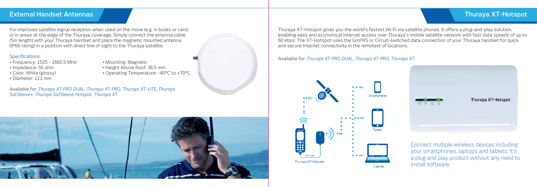# **External Handset Antennas Thuraya XT-Hotspot**

For improved satellite signal reception when used on the move (e.g. in boats or cars) or in areas at the edge of the Thuraya coverage. Simply connect the antenna cable (5m length) with your Thuraya handset and place the magnetic mounted antenna (IP66 rating) in a position with direct line of sight to the Thuraya satellite.

## Specifications:

- Frequency: 1525 1660.5 MHz Mounting: Magnetic
- 
- 
- Diameter: 111 mm
- 
- Impedance: 50 ohm Height Above Roof: 36.5 mm
- Color: White (glossy) Operating Temperature: -40°C to +70°C

Available for: *Thuraya XT-PRO DUAL, Thuraya XT-PRO, Thuraya XT-LITE, Thuraya SatSleeve+, Thuraya SatSleeve Hotspot, Thuraya XT*



Thuraya XT-Hotspot gives you the world's fastest Wi-Fi via satellite phones. It offers a plug-and-play solution, enabling easy and economical Internet access over Thuraya's mobile satellite network with fast data speeds of up to 60 kbps. The XT-Hotspot uses the GmPRS or Circuit-switched data connection of your Thuraya handset for quick and secure Internet connectivity in the remotest of locations.

Available for: *Thuraya XT-PRO DUAL, Thuraya XT-PRO, Thuraya XT*





Connect multiple wireless devices including your smartphones, laptops and tablets. It's a plug and play product without any need to install software.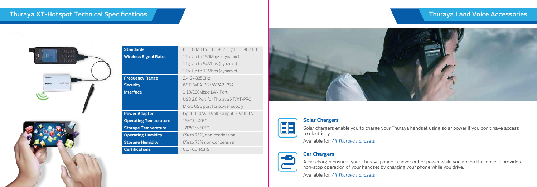# **Thuraya XT-Hotspot Technical Specifications Thuraya Land Voice Accessories**





| IEEE 802.11n, IEEE 802.11g, IEEE 802.11b |
|------------------------------------------|
| 11n: Up to 150Mbps (dynamic)             |
| 11g: Up to 54Mbps (dynamic)              |
| 11b: Up to 11Mbps (dynamic)              |
| 2.4-2.4835GHz                            |
| WEP, WPA-PSK/WPA2-PSK                    |
| 1 10/100Mbps LAN Port                    |
| USB 2.0 Port for Thuraya XT/XT-PRO       |
| Micro USB port for power supply          |
| Input: 110/220 Volt, Output: 5 Volt, 1A  |
| 15°C to 40°C                             |
| $-20^{\circ}$ C to 50 $^{\circ}$ C       |
| 0% to 75%, non-condensing                |
| 0% to 75% non-condensing                 |
| CE, FCC, RoHS                            |
|                                          |





**Solar Chargers**

Solar chargers enable you to charge your Thuraya handset using solar power if you don't have access to electricity.

Available for: *All Thuraya handsets*



**Car Chargers**

A car charger ensures your Thuraya phone is never out of power while you are on the move. It provides non-stop operation of your handset by charging your phone while you drive.

Available for: *All Thuraya handsets*